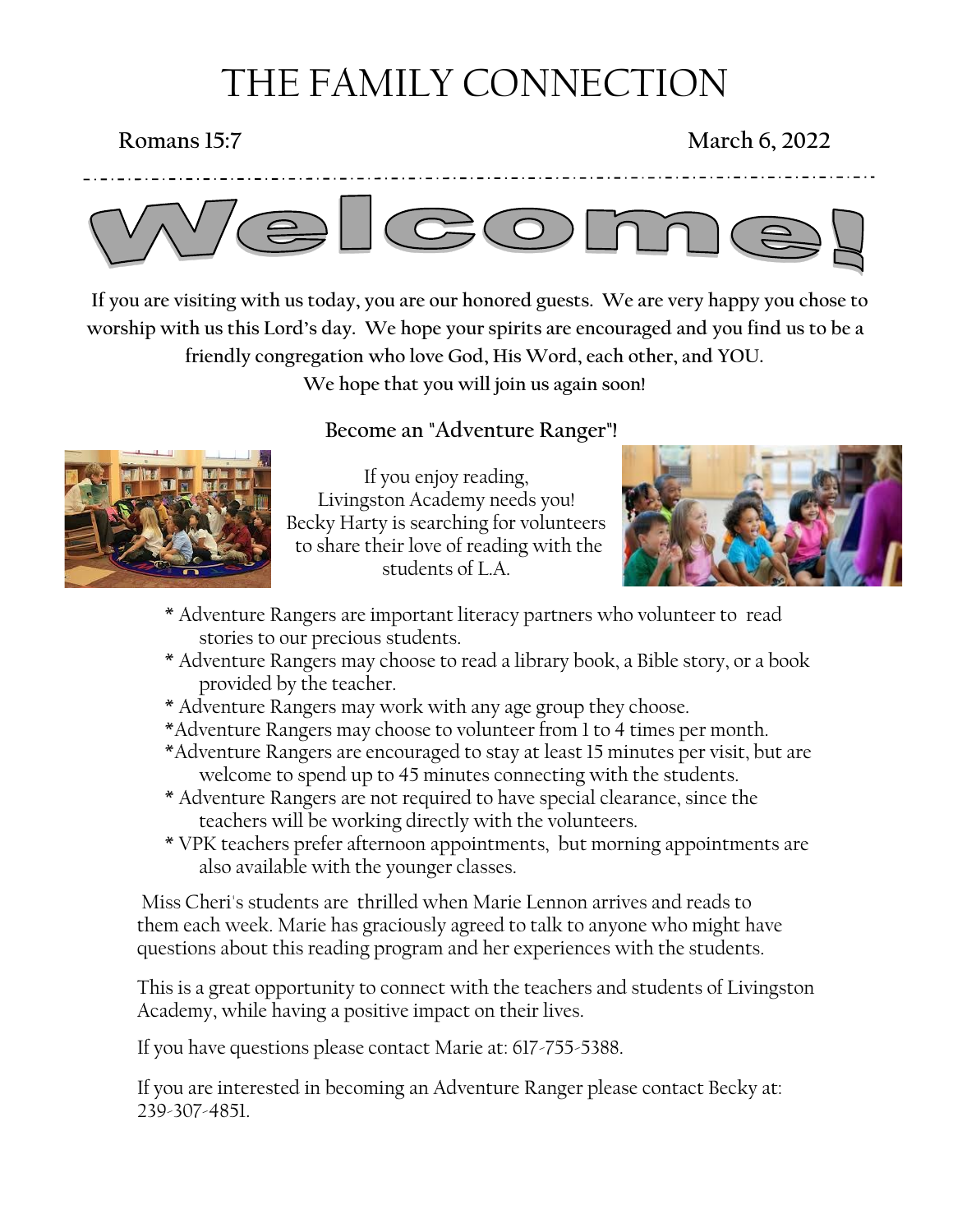# THE FAMILY CONNECTION

# **Romans 15:7** March 6, 2022

\_ . \_ . \_ . \_ . \_ . \_ . \_ . \_ .



 **If you are visiting with us today, you are our honored guests. We are very happy you chose to worship with us this Lord's day. We hope your spirits are encouraged and you find us to be a friendly congregation who love God, His Word, each other, and YOU.** 

**We hope that you will join us again soon!**



## **Become an "Adventure Ranger"!**

If you enjoy reading, Livingston Academy needs you! Becky Harty is searching for volunteers to share their love of reading with the students of L.A.



- \* Adventure Rangers are important literacy partners who volunteer to read stories to our precious students.
- \* Adventure Rangers may choose to read a library book, a Bible story, or a book provided by the teacher.
- \* Adventure Rangers may work with any age group they choose.
- \*Adventure Rangers may choose to volunteer from 1 to 4 times per month.
- \*Adventure Rangers are encouraged to stay at least 15 minutes per visit, but are welcome to spend up to 45 minutes connecting with the students.
- \* Adventure Rangers are not required to have special clearance, since the teachers will be working directly with the volunteers.
- \* VPK teachers prefer afternoon appointments, but morning appointments are also available with the younger classes.

Miss Cheri's students are thrilled when Marie Lennon arrives and reads to them each week. Marie has graciously agreed to talk to anyone who might have questions about this reading program and her experiences with the students.

This is a great opportunity to connect with the teachers and students of Livingston Academy, while having a positive impact on their lives.

If you have questions please contact Marie at: 617-755-5388.

If you are interested in becoming an Adventure Ranger please contact Becky at: 239-307-4851.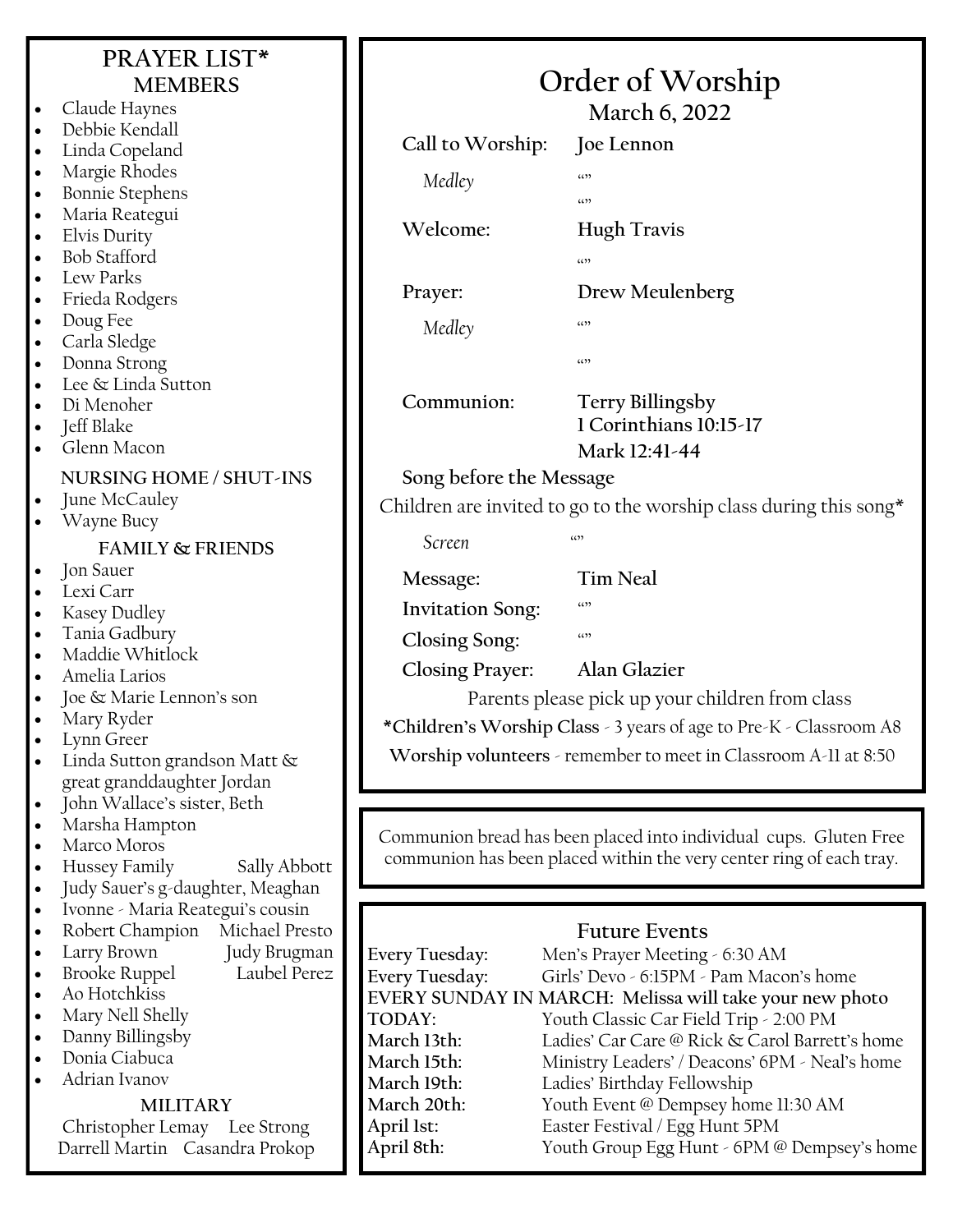|                        | PRAYER LIST*<br><b>MEMBERS</b>                                      | Order of Worship                                                                             |                                                                               |
|------------------------|---------------------------------------------------------------------|----------------------------------------------------------------------------------------------|-------------------------------------------------------------------------------|
| $\bullet$              | Claude Haynes                                                       |                                                                                              |                                                                               |
|                        | Debbie Kendall                                                      |                                                                                              | March 6, 2022                                                                 |
| $\bullet$              | Linda Copeland                                                      | Call to Worship:                                                                             | Joe Lennon                                                                    |
| $\bullet$              | Margie Rhodes                                                       | Medley                                                                                       | (3)                                                                           |
| $\bullet$<br>$\bullet$ | <b>Bonnie Stephens</b><br>Maria Reategui                            |                                                                                              | (5)                                                                           |
| $\bullet$              | Elvis Durity                                                        | Welcome:                                                                                     | <b>Hugh Travis</b>                                                            |
| $\bullet$              | <b>Bob Stafford</b>                                                 |                                                                                              | (()                                                                           |
| $\bullet$              | Lew Parks                                                           | Prayer:                                                                                      | Drew Meulenberg                                                               |
| ٠                      | Frieda Rodgers                                                      |                                                                                              |                                                                               |
| $\bullet$<br>٠         | Doug Fee<br>Carla Sledge                                            | Medley                                                                                       | (()                                                                           |
| $\bullet$              | Donna Strong                                                        |                                                                                              | (()                                                                           |
| $\bullet$              | Lee & Linda Sutton                                                  |                                                                                              |                                                                               |
| $\bullet$              | Di Menoher                                                          | Communion:                                                                                   | <b>Terry Billingsby</b><br>1 Corinthians 10:15-17                             |
| $\bullet$              | Jeff Blake<br>Glenn Macon                                           |                                                                                              | Mark 12:41-44                                                                 |
|                        | NURSING HOME / SHUT-INS                                             |                                                                                              |                                                                               |
| $\bullet$              | June McCauley                                                       | Song before the Message<br>Children are invited to go to the worship class during this song* |                                                                               |
| $\bullet$              | Wayne Bucy                                                          |                                                                                              |                                                                               |
|                        | <b>FAMILY &amp; FRIENDS</b>                                         | Screen                                                                                       | (0)                                                                           |
| ٠                      | Jon Sauer                                                           | Message:                                                                                     | <b>Tim Neal</b>                                                               |
| $\bullet$              | Lexi Carr                                                           |                                                                                              | $\left( \mathcal{L} \right)$                                                  |
| $\bullet$              | Kasey Dudley<br>Tania Gadbury                                       | <b>Invitation Song:</b>                                                                      |                                                                               |
| ٠                      | Maddie Whitlock                                                     | Closing Song:                                                                                | (1)                                                                           |
| $\bullet$              | Amelia Larios                                                       | <b>Closing Prayer:</b>                                                                       | Alan Glazier                                                                  |
|                        | Joe & Marie Lennon's son                                            | Parents please pick up your children from class                                              |                                                                               |
|                        | Mary Ryder<br>Lynn Greer                                            | *Children's Worship Class - 3 years of age to Pre-K - Classroom A8                           |                                                                               |
| $\bullet$<br>$\bullet$ | Linda Sutton grandson Matt &                                        | Worship volunteers - remember to meet in Classroom A-11 at 8:50                              |                                                                               |
|                        | great granddaughter Jordan                                          |                                                                                              |                                                                               |
| $\bullet$              | John Wallace's sister, Beth                                         |                                                                                              |                                                                               |
| $\bullet$              | Marsha Hampton<br>Marco Moros                                       | Communion bread has been placed into individual cups. Gluten Free                            |                                                                               |
| $\bullet$<br>$\bullet$ | Hussey Family<br>Sally Abbott                                       | communion has been placed within the very center ring of each tray.                          |                                                                               |
| $\bullet$              | Judy Sauer's g-daughter, Meaghan                                    |                                                                                              |                                                                               |
| $\bullet$              | Ivonne - Maria Reategui's cousin                                    |                                                                                              |                                                                               |
| $\bullet$              | Robert Champion<br>Michael Presto                                   |                                                                                              | <b>Future Events</b>                                                          |
| ٠<br>$\bullet$         | Larry Brown<br>Judy Brugman<br>Laubel Perez<br><b>Brooke Ruppel</b> | Every Tuesday:<br>Every Tuesday:                                                             | Men's Prayer Meeting - 6:30 AM<br>Girls' Devo - 6:15PM - Pam Macon's home     |
| $\bullet$              | Ao Hotchkiss                                                        |                                                                                              | EVERY SUNDAY IN MARCH: Melissa will take your new photo                       |
| $\bullet$              | Mary Nell Shelly                                                    | TODAY:                                                                                       | Youth Classic Car Field Trip - 2:00 PM                                        |
| $\bullet$              | Danny Billingsby<br>Donia Ciabuca                                   | March 13th:                                                                                  | Ladies' Car Care @ Rick & Carol Barrett's home                                |
| $\bullet$<br>$\bullet$ | Adrian Ivanov                                                       | March 15th:<br>March 19th:                                                                   | Ministry Leaders' / Deacons' 6PM - Neal's home<br>Ladies' Birthday Fellowship |
|                        | <b>MILITARY</b>                                                     | March 20th:                                                                                  | Youth Event @ Dempsey home 11:30 AM                                           |
|                        | Christopher Lemay Lee Strong                                        | April 1st:                                                                                   | Easter Festival / Egg Hunt 5PM                                                |
|                        | Darrell Martin Casandra Prokop                                      | April 8th:                                                                                   | Youth Group Egg Hunt - 6PM @ Dempsey's home                                   |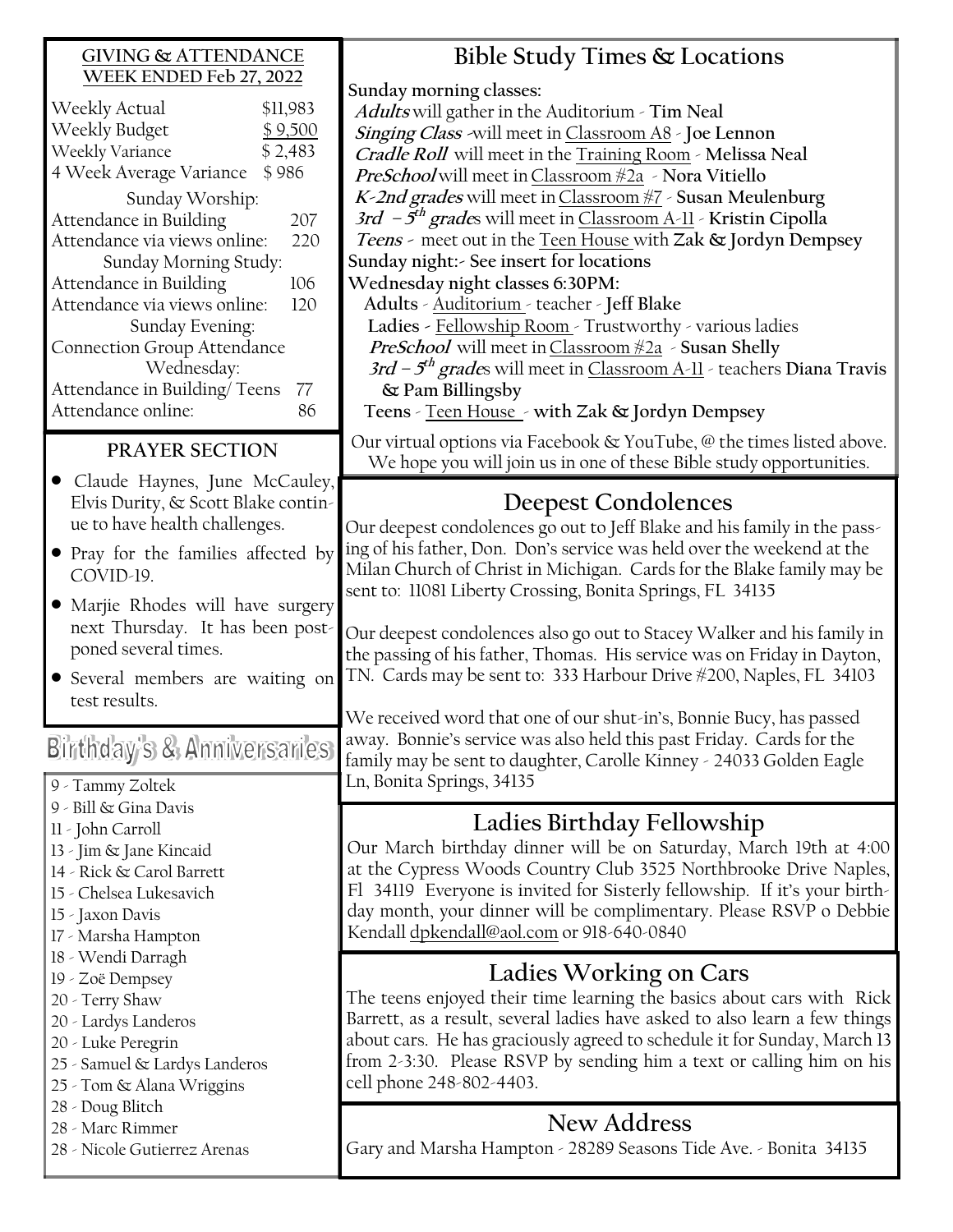### **PRAYER SECTION** • Claude Haynes, June McCauley, Elvis Durity, & Scott Blake continue to have health challenges. **GIVING & ATTENDANCE WEEK ENDED Feb 27, 2022** Weekly Actual \$11,983 Weekly Budget \$9,500 Weekly Variance \$ 2,483 4 Week Average Variance \$ 986 Sunday Worship: Attendance in Building 207 Attendance via views online: 220 Sunday Morning Study: Attendance in Building 106 Attendance via views online: 120 Sunday Evening: Connection Group Attendance Wednesday: Attendance in Building/Teens 77 Attendance online: 86 **Bible Study Times & Locations Sunday morning classes: Adults** will gather in the Auditorium - **Tim Neal Singing Class -**will meet in Classroom A8 - **Joe Lennon Cradle Roll** will meet in the Training Room - **Melissa Neal PreSchool** will meet inClassroom #2a - **Nora Vitiello K-2nd grades** will meet inClassroom #7 - **Susan Meulenburg 3rd – 5 th grade**s will meet in Classroom A-11 - **Kristin Cipolla Sunday night:- See insert for locations Wednesday night classes 6:30PM: Adults** - Auditorium - teacher - **Jeff Blake Ladies -** Fellowship Room - Trustworthy - various ladies **PreSchool** will meet inClassroom #2a - **Susan Shelly & Pam Billingsby Teens** - Teen House - **with Zak & Jordyn Dempsey Deepest Condolences**

- Pray for the families affected by COVID-19.
- Marjie Rhodes will have surgery next Thursday. It has been postponed several times.
- Several members are waiting on test results.

# Birthday's & Anniversaries

- 9 Tammy Zoltek
- 9 Bill & Gina Davis
- 11 John Carroll
- 13 Jim & Jane Kincaid
- 14 Rick & Carol Barrett
- 15 Chelsea Lukesavich
- 15 Jaxon Davis
- 17 Marsha Hampton
- 18 Wendi Darragh
- 19 Zoë Dempsey
- 20 Terry Shaw
- 20 Lardys Landeros
- 20 Luke Peregrin
- 25 Samuel & Lardys Landeros
- 25 Tom & Alana Wriggins
- 28 Doug Blitch
- 28 Marc Rimmer
- 28 Nicole Gutierrez Arenas

We received word that one of our shut-in's, Bonnie Bucy, has passed away. Bonnie's service was also held this past Friday. Cards for the family may be sent to daughter, Carolle Kinney - 24033 Golden Eagle Ln, Bonita Springs, 34135

# **Ladies Birthday Fellowship**

Our March birthday dinner will be on Saturday, March 19th at 4:00 at the Cypress Woods Country Club 3525 Northbrooke Drive Naples, Fl 34119 Everyone is invited for Sisterly fellowship. If it's your birthday month, your dinner will be complimentary. Please RSVP o Debbie Kendall [dpkendall@aol.com](mailto:dpkendall@aol.com) or 918-640-0840

# **Ladies Working on Cars**

The teens enjoyed their time learning the basics about cars with Rick Barrett, as a result, several ladies have asked to also learn a few things about cars. He has graciously agreed to schedule it for Sunday, March 13 from 2-3:30. Please RSVP by sending him a text or calling him on his cell phone 248-802-4403.

# **New Address**

Gary and Marsha Hampton - 28289 Seasons Tide Ave. - Bonita 34135

**Teens -** meet out in the Teen House with **Zak & Jordyn Dempsey 3rd – 5 th grade**s will meet in Classroom A-11 - teachers **Diana Travis** 

Our virtual options via Facebook & YouTube, @ the times listed above. We hope you will join us in one of these Bible study opportunities.

Our deepest condolences go out to Jeff Blake and his family in the passing of his father, Don. Don's service was held over the weekend at the Milan Church of Christ in Michigan. Cards for the Blake family may be sent to: 11081 Liberty Crossing, Bonita Springs, FL 34135

Our deepest condolences also go out to Stacey Walker and his family in the passing of his father, Thomas. His service was on Friday in Dayton, TN. Cards may be sent to: 333 Harbour Drive #200, Naples, FL 34103